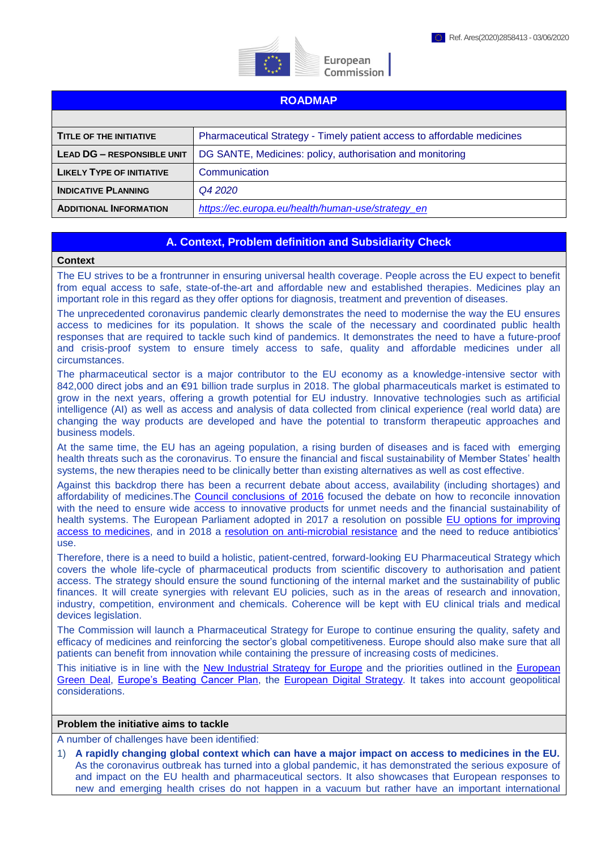

European Commission

### **ROADMAP**

| TITLE OF THE INITIATIVE           | Pharmaceutical Strategy - Timely patient access to affordable medicines |
|-----------------------------------|-------------------------------------------------------------------------|
| <b>LEAD DG - RESPONSIBLE UNIT</b> | DG SANTE, Medicines: policy, authorisation and monitoring               |
| <b>LIKELY TYPE OF INITIATIVE</b>  | Communication                                                           |
| <b>INDICATIVE PLANNING</b>        | Q4 2020                                                                 |
| <b>ADDITIONAL INFORMATION</b>     | https://ec.europa.eu/health/human-use/strategy_en                       |

### **A. Context, Problem definition and Subsidiarity Check**

#### **Context**

The EU strives to be a frontrunner in ensuring universal health coverage. People across the EU expect to benefit from equal access to safe, state-of-the-art and affordable new and established therapies. Medicines play an important role in this regard as they offer options for diagnosis, treatment and prevention of diseases.

The unprecedented coronavirus pandemic clearly demonstrates the need to modernise the way the EU ensures access to medicines for its population. It shows the scale of the necessary and coordinated public health responses that are required to tackle such kind of pandemics. It demonstrates the need to have a future-proof and crisis-proof system to ensure timely access to safe, quality and affordable medicines under all circumstances.

The pharmaceutical sector is a major contributor to the EU economy as a knowledge-intensive sector with 842,000 direct jobs and an €91 billion trade surplus in 2018. The global pharmaceuticals market is estimated to grow in the next years, offering a growth potential for EU industry. Innovative technologies such as artificial intelligence (AI) as well as access and analysis of data collected from clinical experience (real world data) are changing the way products are developed and have the potential to transform therapeutic approaches and business models.

At the same time, the EU has an ageing population, a rising burden of diseases and is faced with emerging health threats such as the coronavirus. To ensure the financial and fiscal sustainability of Member States' health systems, the new therapies need to be clinically better than existing alternatives as well as cost effective.

Against this backdrop there has been a recurrent debate about access, availability (including shortages) and affordability of medicines.The [Council conclusions of 2016](https://eur-lex.europa.eu/legal-content/EN/TXT/?qid=1581347403221&uri=CELEX:52016XG0723(03)) focused the debate on how to reconcile innovation with the need to ensure wide access to innovative products for unmet needs and the financial sustainability of health systems. The European Parliament adopted in 2017 a resolution on possible EU options for improving [access to medicines,](https://eur-lex.europa.eu/legal-content/EN/TXT/?qid=1581347576921&uri=CELEX:52017IP0061) and in 2018 a [resolution on anti-microbial resistance](https://eur-lex.europa.eu/legal-content/EN/TXT/?qid=1581347709853&uri=CELEX:52018IP0354) and the need to reduce antibiotics' use.

Therefore, there is a need to build a holistic, patient-centred, forward-looking EU Pharmaceutical Strategy which covers the whole life-cycle of pharmaceutical products from scientific discovery to authorisation and patient access. The strategy should ensure the sound functioning of the internal market and the sustainability of public finances. It will create synergies with relevant EU policies, such as in the areas of research and innovation, industry, competition, environment and chemicals. Coherence will be kept with EU clinical trials and medical devices legislation.

The Commission will launch a Pharmaceutical Strategy for Europe to continue ensuring the quality, safety and efficacy of medicines and reinforcing the sector's global competitiveness. Europe should also make sure that all patients can benefit from innovation while containing the pressure of increasing costs of medicines.

This initiative is in line with the New [Industrial Strategy](https://ec.europa.eu/info/sites/info/files/communication-eu-industrial-strategy-march-2020_en.pdf) for Europe and the priorities outlined in the European [Green Deal,](https://ec.europa.eu/info/publications/communication-european-green-deal_en) [Europe's Beating Cancer Plan,](https://ec.europa.eu/info/law/better-regulation/initiatives/ares-2020-693786_en) the [European Digital Strategy.](https://ec.europa.eu/digital-single-market/en/content/european-digital-strategy) It takes into account geopolitical considerations.

### **Problem the initiative aims to tackle**

A number of challenges have been identified:

1) **A rapidly changing global context which can have a major impact on access to medicines in the EU.**  As the coronavirus outbreak has turned into a global pandemic, it has demonstrated the serious exposure of and impact on the EU health and pharmaceutical sectors. It also showcases that European responses to new and emerging health crises do not happen in a vacuum but rather have an important international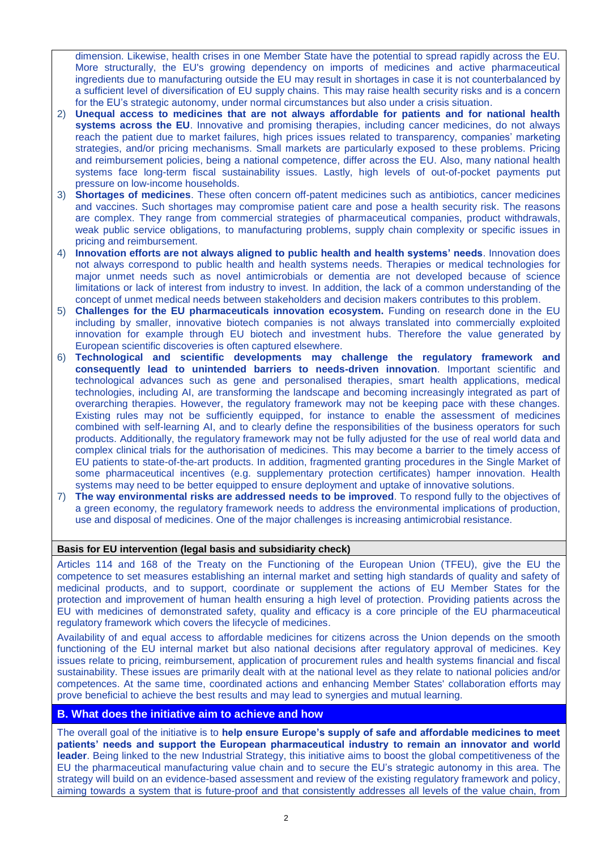dimension. Likewise, health crises in one Member State have the potential to spread rapidly across the EU. More structurally, the EU's growing dependency on imports of medicines and active pharmaceutical ingredients due to manufacturing outside the EU may result in shortages in case it is not counterbalanced by a sufficient level of diversification of EU supply chains. This may raise health security risks and is a concern for the EU's strategic autonomy, under normal circumstances but also under a crisis situation.

- 2) **Unequal access to medicines that are not always affordable for patients and for national health systems across the EU**. Innovative and promising therapies, including cancer medicines, do not always reach the patient due to market failures, high prices issues related to transparency, companies' marketing strategies, and/or pricing mechanisms. Small markets are particularly exposed to these problems. Pricing and reimbursement policies, being a national competence, differ across the EU. Also, many national health systems face long-term fiscal sustainability issues. Lastly, high levels of out-of-pocket payments put pressure on low-income households.
- 3) **Shortages of medicines**. These often concern off-patent medicines such as antibiotics, cancer medicines and vaccines. Such shortages may compromise patient care and pose a health security risk. The reasons are complex. They range from commercial strategies of pharmaceutical companies, product withdrawals, weak public service obligations, to manufacturing problems, supply chain complexity or specific issues in pricing and reimbursement.
- 4) **Innovation efforts are not always aligned to public health and health systems' needs**. Innovation does not always correspond to public health and health systems needs. Therapies or medical technologies for major unmet needs such as novel antimicrobials or dementia are not developed because of science limitations or lack of interest from industry to invest. In addition, the lack of a common understanding of the concept of unmet medical needs between stakeholders and decision makers contributes to this problem.
- 5) **Challenges for the EU pharmaceuticals innovation ecosystem.** Funding on research done in the EU including by smaller, innovative biotech companies is not always translated into commercially exploited innovation for example through EU biotech and investment hubs. Therefore the value generated by European scientific discoveries is often captured elsewhere.
- 6) **Technological and scientific developments may challenge the regulatory framework and consequently lead to unintended barriers to needs-driven innovation**. Important scientific and technological advances such as gene and personalised therapies, smart health applications, medical technologies, including AI, are transforming the landscape and becoming increasingly integrated as part of overarching therapies. However, the regulatory framework may not be keeping pace with these changes. Existing rules may not be sufficiently equipped, for instance to enable the assessment of medicines combined with self-learning AI, and to clearly define the responsibilities of the business operators for such products. Additionally, the regulatory framework may not be fully adjusted for the use of real world data and complex clinical trials for the authorisation of medicines. This may become a barrier to the timely access of EU patients to state-of-the-art products. In addition, fragmented granting procedures in the Single Market of some pharmaceutical incentives (e.g. supplementary protection certificates) hamper innovation. Health systems may need to be better equipped to ensure deployment and uptake of innovative solutions.
- 7) **The way environmental risks are addressed needs to be improved**. To respond fully to the objectives of a green economy, the regulatory framework needs to address the environmental implications of production, use and disposal of medicines. One of the major challenges is increasing antimicrobial resistance.

#### **Basis for EU intervention (legal basis and subsidiarity check)**

Articles 114 and 168 of the Treaty on the Functioning of the European Union (TFEU), give the EU the competence to set measures establishing an internal market and setting high standards of quality and safety of medicinal products, and to support, coordinate or supplement the actions of EU Member States for the protection and improvement of human health ensuring a high level of protection. Providing patients across the EU with medicines of demonstrated safety, quality and efficacy is a core principle of the EU pharmaceutical regulatory framework which covers the lifecycle of medicines.

Availability of and equal access to affordable medicines for citizens across the Union depends on the smooth functioning of the EU internal market but also national decisions after regulatory approval of medicines. Key issues relate to pricing, reimbursement, application of procurement rules and health systems financial and fiscal sustainability. These issues are primarily dealt with at the national level as they relate to national policies and/or competences. At the same time, coordinated actions and enhancing Member States' collaboration efforts may prove beneficial to achieve the best results and may lead to synergies and mutual learning.

# **B. What does the initiative aim to achieve and how**

The overall goal of the initiative is to **help ensure Europe's supply of safe and affordable medicines to meet patients' needs and support the European pharmaceutical industry to remain an innovator and world leader**. Being linked to the new Industrial Strategy, this initiative aims to boost the global competitiveness of the EU the pharmaceutical manufacturing value chain and to secure the EU's strategic autonomy in this area. The strategy will build on an evidence-based assessment and review of the existing regulatory framework and policy, aiming towards a system that is future-proof and that consistently addresses all levels of the value chain, from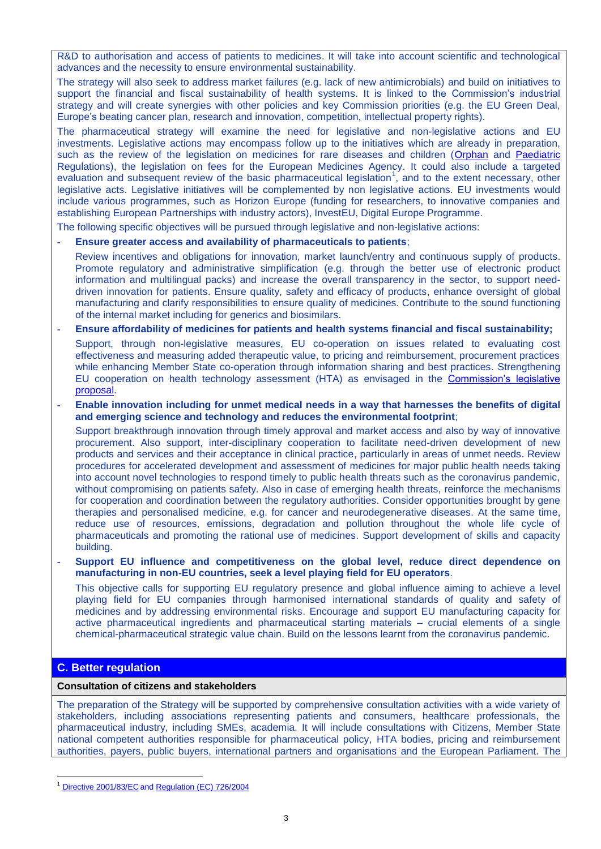R&D to authorisation and access of patients to medicines. It will take into account scientific and technological advances and the necessity to ensure environmental sustainability.

The strategy will also seek to address market failures (e.g. lack of new antimicrobials) and build on initiatives to support the financial and fiscal sustainability of health systems. It is linked to the Commission's industrial strategy and will create synergies with other policies and key Commission priorities (e.g. the EU Green Deal, Europe's beating cancer plan, research and innovation, competition, intellectual property rights).

The pharmaceutical strategy will examine the need for legislative and non-legislative actions and EU investments. Legislative actions may encompass follow up to the initiatives which are already in preparation, such as the review of the legislation on medicines for rare diseases and children [\(Orphan](https://eur-lex.europa.eu/legal-content/EN/TXT/?uri=CELEX:02000R0141-20190726) and [Paediatric](https://eur-lex.europa.eu/legal-content/EN/TXT/?uri=CELEX:32006R1901) Regulations), the legislation on fees for the European Medicines Agency. It could also include a targeted evaluation and subsequent review of the basic pharmaceutical legislation<sup>1</sup>, and to the extent necessary, other legislative acts. Legislative initiatives will be complemented by non legislative actions. EU investments would include various programmes, such as Horizon Europe (funding for researchers, to innovative companies and establishing European Partnerships with industry actors), InvestEU, Digital Europe Programme.

The following specific objectives will be pursued through legislative and non-legislative actions:

### **- Ensure greater access and availability of pharmaceuticals to patients**;

Review incentives and obligations for innovation, market launch/entry and continuous supply of products. Promote regulatory and administrative simplification (e.g. through the better use of electronic product information and multilingual packs) and increase the overall transparency in the sector, to support needdriven innovation for patients. Ensure quality, safety and efficacy of products, enhance oversight of global manufacturing and clarify responsibilities to ensure quality of medicines. Contribute to the sound functioning of the internal market including for generics and biosimilars.

## **- Ensure affordability of medicines for patients and health systems financial and fiscal sustainability;**

Support, through non-legislative measures, EU co-operation on issues related to evaluating cost effectiveness and measuring added therapeutic value, to pricing and reimbursement, procurement practices while enhancing Member State co-operation through information sharing and best practices. Strengthening EU cooperation on health technology assessment (HTA) as envisaged in the [Commission's legislative](https://ec.europa.eu/health/sites/health/files/technology_assessment/docs/com2018_51final_en.pdf)  [proposal.](https://ec.europa.eu/health/sites/health/files/technology_assessment/docs/com2018_51final_en.pdf)

**- Enable innovation including for unmet medical needs in a way that harnesses the benefits of digital and emerging science and technology and reduces the environmental footprint**;

Support breakthrough innovation through timely approval and market access and also by way of innovative procurement. Also support, inter-disciplinary cooperation to facilitate need-driven development of new products and services and their acceptance in clinical practice, particularly in areas of unmet needs. Review procedures for accelerated development and assessment of medicines for major public health needs taking into account novel technologies to respond timely to public health threats such as the coronavirus pandemic, without compromising on patients safety. Also in case of emerging health threats, reinforce the mechanisms for cooperation and coordination between the regulatory authorities. Consider opportunities brought by gene therapies and personalised medicine, e.g. for cancer and neurodegenerative diseases. At the same time, reduce use of resources, emissions, degradation and pollution throughout the whole life cycle of pharmaceuticals and promoting the rational use of medicines. Support development of skills and capacity building.

**- Support EU influence and competitiveness on the global level, reduce direct dependence on manufacturing in non-EU countries, seek a level playing field for EU operators**.

This objective calls for supporting EU regulatory presence and global influence aiming to achieve a level playing field for EU companies through harmonised international standards of quality and safety of medicines and by addressing environmental risks. Encourage and support EU manufacturing capacity for active pharmaceutical ingredients and pharmaceutical starting materials – crucial elements of a single chemical-pharmaceutical strategic value chain. Build on the lessons learnt from the coronavirus pandemic.

# **C. Better regulation**

## **Consultation of citizens and stakeholders**

The preparation of the Strategy will be supported by comprehensive consultation activities with a wide variety of stakeholders, including associations representing patients and consumers, healthcare professionals, the pharmaceutical industry, including SMEs, academia. It will include consultations with Citizens, Member State national competent authorities responsible for pharmaceutical policy, HTA bodies, pricing and reimbursement authorities, payers, public buyers, international partners and organisations and the European Parliament. The

<sup>1</sup> [Directive 2001/83/EC](https://eur-lex.europa.eu/legal-content/EN/TXT/?qid=1582886501581&uri=CELEX:02001L0083-20190726) and [Regulation \(EC\) 726/2004](https://eur-lex.europa.eu/legal-content/EN/TXT/?qid=1582886537176&uri=CELEX:02004R0726-20190330)